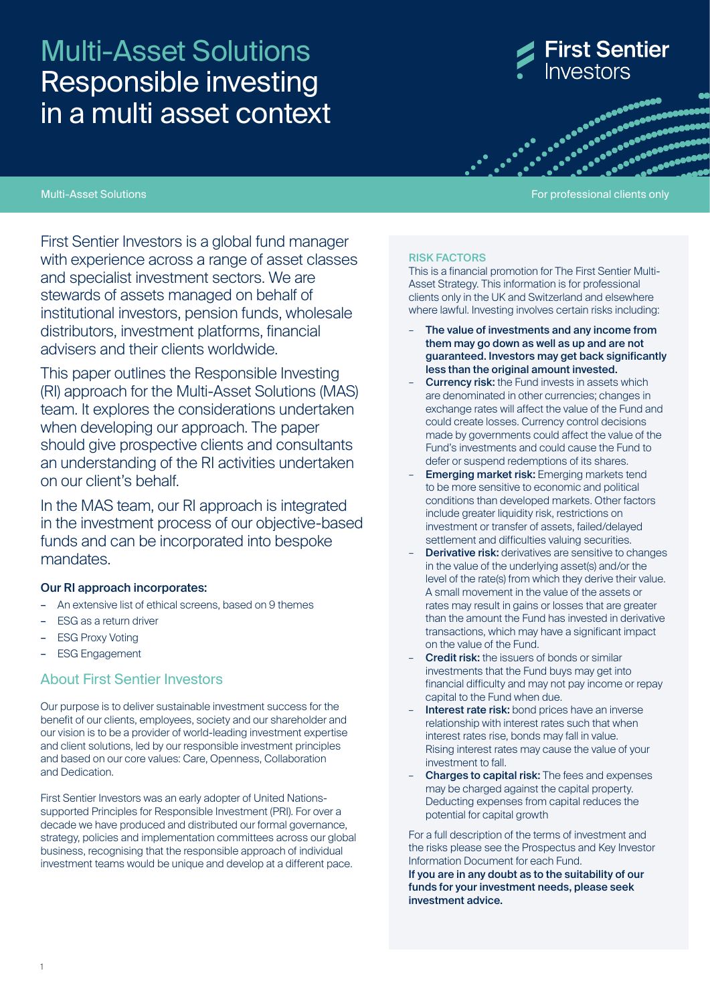# Multi-Asset Solutions Responsible investing in a multi asset context

**First Sentier** nvestors

advances and all algo<br>advances and algorithment<br>advances and algorithment 

#### Multi-Asset Solutions For professional clients only and the professional clients only and the professional clients only

First Sentier Investors is a global fund manager with experience across a range of asset classes and specialist investment sectors. We are stewards of assets managed on behalf of institutional investors, pension funds, wholesale distributors, investment platforms, financial advisers and their clients worldwide.

This paper outlines the Responsible Investing (RI) approach for the Multi-Asset Solutions (MAS) team. It explores the considerations undertaken when developing our approach. The paper should give prospective clients and consultants an understanding of the RI activities undertaken on our client's behalf.

In the MAS team, our RI approach is integrated in the investment process of our objective-based funds and can be incorporated into bespoke mandates.

#### Our RI approach incorporates:

- An extensive list of ethical screens, based on 9 themes
- ESG as a return driver
- **ESG Proxy Voting**
- ESG Engagement

## About First Sentier Investors

Our purpose is to deliver sustainable investment success for the benefit of our clients, employees, society and our shareholder and our vision is to be a provider of world-leading investment expertise and client solutions, led by our responsible investment principles and based on our core values: Care, Openness, Collaboration and Dedication.

First Sentier Investors was an early adopter of United Nationssupported Principles for Responsible Investment (PRI). For over a decade we have produced and distributed our formal governance, strategy, policies and implementation committees across our global business, recognising that the responsible approach of individual investment teams would be unique and develop at a different pace.

#### RISK FACTORS

This is a financial promotion for The First Sentier Multi-Asset Strategy. This information is for professional clients only in the UK and Switzerland and elsewhere where lawful. Investing involves certain risks including:

- The value of investments and any income from them may go down as well as up and are not guaranteed. Investors may get back significantly less than the original amount invested.
- **Currency risk:** the Fund invests in assets which are denominated in other currencies; changes in exchange rates will affect the value of the Fund and could create losses. Currency control decisions made by governments could affect the value of the Fund's investments and could cause the Fund to defer or suspend redemptions of its shares.
- **Emerging market risk:** Emerging markets tend to be more sensitive to economic and political conditions than developed markets. Other factors include greater liquidity risk, restrictions on investment or transfer of assets, failed/delayed settlement and difficulties valuing securities.
- **Derivative risk:** derivatives are sensitive to changes in the value of the underlying asset(s) and/or the level of the rate(s) from which they derive their value. A small movement in the value of the assets or rates may result in gains or losses that are greater than the amount the Fund has invested in derivative transactions, which may have a significant impact on the value of the Fund.
- **Credit risk:** the issuers of bonds or similar investments that the Fund buys may get into financial difficulty and may not pay income or repay capital to the Fund when due.
- Interest rate risk: bond prices have an inverse relationship with interest rates such that when interest rates rise, bonds may fall in value. Rising interest rates may cause the value of your investment to fall.
- Charges to capital risk: The fees and expenses may be charged against the capital property. Deducting expenses from capital reduces the potential for capital growth

For a full description of the terms of investment and the risks please see the Prospectus and Key Investor Information Document for each Fund.

If you are in any doubt as to the suitability of our funds for your investment needs, please seek investment advice.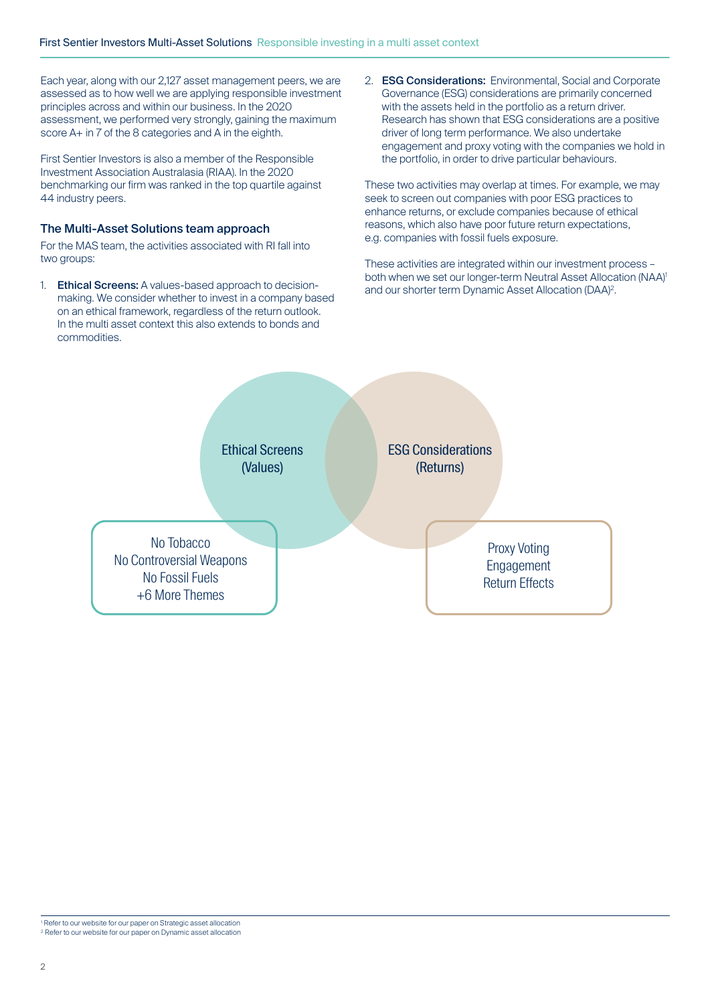Each year, along with our 2,127 asset management peers, we are assessed as to how well we are applying responsible investment principles across and within our business. In the 2020 assessment, we performed very strongly, gaining the maximum score A+ in 7 of the 8 categories and A in the eighth.

First Sentier Investors is also a member of the Responsible Investment Association Australasia (RIAA). In the 2020 benchmarking our firm was ranked in the top quartile against 44 industry peers.

## The Multi-Asset Solutions team approach

For the MAS team, the activities associated with RI fall into two groups:

1. **Ethical Screens:** A values-based approach to decisionmaking. We consider whether to invest in a company based on an ethical framework, regardless of the return outlook. In the multi asset context this also extends to bonds and commodities.

2. ESG Considerations: Environmental, Social and Corporate Governance (ESG) considerations are primarily concerned with the assets held in the portfolio as a return driver. Research has shown that ESG considerations are a positive driver of long term performance. We also undertake engagement and proxy voting with the companies we hold in the portfolio, in order to drive particular behaviours.

These two activities may overlap at times. For example, we may seek to screen out companies with poor ESG practices to enhance returns, or exclude companies because of ethical reasons, which also have poor future return expectations, e.g. companies with fossil fuels exposure.

These activities are integrated within our investment process – both when we set our longer-term Neutral Asset Allocation (NAA)<sup>1</sup> and our shorter term Dynamic Asset Allocation (DAA)2.

Ethical Screens (Values)

ESG Considerations (Returns)

No Tobacco No Controversial Weapons No Fossil Fuels +6 More Themes

Proxy Voting Engagement Return Effects

1 Refer to our website for our paper on Strategic asset allocation 2 Refer to our website for our paper on Dynamic asset allocation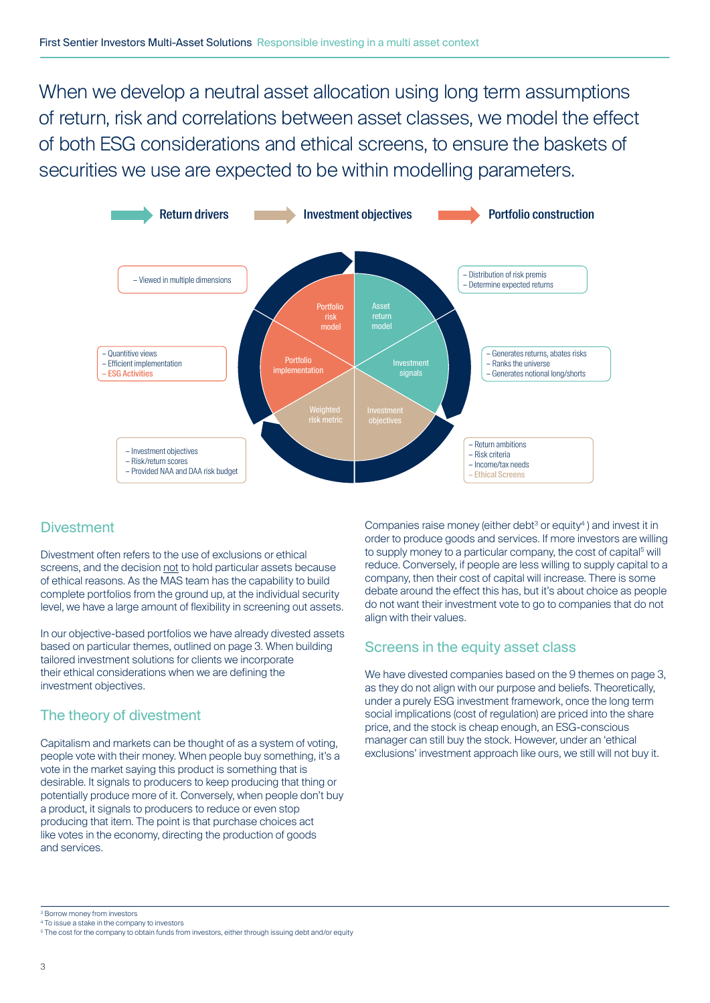When we develop a neutral asset allocation using long term assumptions of return, risk and correlations between asset classes, we model the effect of both ESG considerations and ethical screens, to ensure the baskets of securities we use are expected to be within modelling parameters.



## **Divestment**

Divestment often refers to the use of exclusions or ethical screens, and the decision not to hold particular assets because of ethical reasons. As the MAS team has the capability to build complete portfolios from the ground up, at the individual security level, we have a large amount of flexibility in screening out assets.

In our objective-based portfolios we have already divested assets based on particular themes, outlined on page 3. When building tailored investment solutions for clients we incorporate their ethical considerations when we are defining the investment objectives.

## The theory of divestment

Capitalism and markets can be thought of as a system of voting, people vote with their money. When people buy something, it's a vote in the market saying this product is something that is desirable. It signals to producers to keep producing that thing or potentially produce more of it. Conversely, when people don't buy a product, it signals to producers to reduce or even stop producing that item. The point is that purchase choices act like votes in the economy, directing the production of goods and services.

Companies raise money (either debt $3$  or equity $4$ ) and invest it in order to produce goods and services. If more investors are willing to supply money to a particular company, the cost of capital<sup>5</sup> will reduce. Conversely, if people are less willing to supply capital to a company, then their cost of capital will increase. There is some debate around the effect this has, but it's about choice as people do not want their investment vote to go to companies that do not align with their values.

## Screens in the equity asset class

We have divested companies based on the 9 themes on page 3, as they do not align with our purpose and beliefs. Theoretically, under a purely ESG investment framework, once the long term social implications (cost of regulation) are priced into the share price, and the stock is cheap enough, an ESG-conscious manager can still buy the stock. However, under an 'ethical exclusions' investment approach like ours, we still will not buy it.

4 To issue a stake in the company to investors

<sup>3</sup> Borrow money from investors

<sup>&</sup>lt;sup>5</sup> The cost for the company to obtain funds from investors, either through issuing debt and/or equity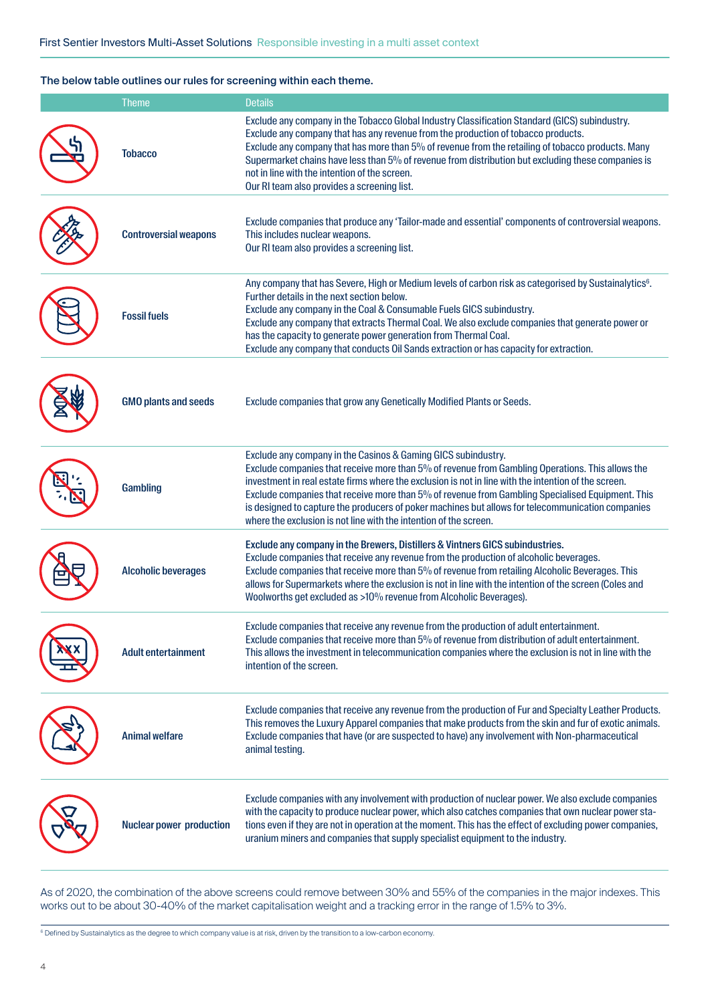#### The below table outlines our rules for screening within each theme.

| <b>Theme</b>                    | <b>Details</b>                                                                                                                                                                                                                                                                                                                                                                                                                                                                                                                                          |
|---------------------------------|---------------------------------------------------------------------------------------------------------------------------------------------------------------------------------------------------------------------------------------------------------------------------------------------------------------------------------------------------------------------------------------------------------------------------------------------------------------------------------------------------------------------------------------------------------|
| <b>Tobacco</b>                  | Exclude any company in the Tobacco Global Industry Classification Standard (GICS) subindustry.<br>Exclude any company that has any revenue from the production of tobacco products.<br>Exclude any company that has more than 5% of revenue from the retailing of tobacco products. Many<br>Supermarket chains have less than 5% of revenue from distribution but excluding these companies is<br>not in line with the intention of the screen.<br>Our RI team also provides a screening list.                                                          |
| <b>Controversial weapons</b>    | Exclude companies that produce any 'Tailor-made and essential' components of controversial weapons.<br>This includes nuclear weapons.<br>Our RI team also provides a screening list.                                                                                                                                                                                                                                                                                                                                                                    |
| <b>Fossil fuels</b>             | Any company that has Severe, High or Medium levels of carbon risk as categorised by Sustainalytics <sup>6</sup> .<br>Further details in the next section below.<br>Exclude any company in the Coal & Consumable Fuels GICS subindustry.<br>Exclude any company that extracts Thermal Coal. We also exclude companies that generate power or<br>has the capacity to generate power generation from Thermal Coal.<br>Exclude any company that conducts Oil Sands extraction or has capacity for extraction.                                               |
| <b>GMO plants and seeds</b>     | Exclude companies that grow any Genetically Modified Plants or Seeds.                                                                                                                                                                                                                                                                                                                                                                                                                                                                                   |
| Gambling                        | Exclude any company in the Casinos & Gaming GICS subindustry.<br>Exclude companies that receive more than 5% of revenue from Gambling Operations. This allows the<br>investment in real estate firms where the exclusion is not in line with the intention of the screen.<br>Exclude companies that receive more than 5% of revenue from Gambling Specialised Equipment. This<br>is designed to capture the producers of poker machines but allows for telecommunication companies<br>where the exclusion is not line with the intention of the screen. |
| <b>Alcoholic beverages</b>      | Exclude any company in the Brewers, Distillers & Vintners GICS subindustries.<br>Exclude companies that receive any revenue from the production of alcoholic beverages.<br>Exclude companies that receive more than 5% of revenue from retailing Alcoholic Beverages. This<br>allows for Supermarkets where the exclusion is not in line with the intention of the screen (Coles and<br>Woolworths get excluded as >10% revenue from Alcoholic Beverages).                                                                                              |
| Adult entertainment             | Exclude companies that receive any revenue from the production of adult entertainment.<br>Exclude companies that receive more than 5% of revenue from distribution of adult entertainment.<br>This allows the investment in telecommunication companies where the exclusion is not in line with the<br>intention of the screen.                                                                                                                                                                                                                         |
| <b>Animal welfare</b>           | Exclude companies that receive any revenue from the production of Fur and Specialty Leather Products.<br>This removes the Luxury Apparel companies that make products from the skin and fur of exotic animals.<br>Exclude companies that have (or are suspected to have) any involvement with Non-pharmaceutical<br>animal testing.                                                                                                                                                                                                                     |
| <b>Nuclear power production</b> | Exclude companies with any involvement with production of nuclear power. We also exclude companies<br>with the capacity to produce nuclear power, which also catches companies that own nuclear power sta-<br>tions even if they are not in operation at the moment. This has the effect of excluding power companies,<br>uranium miners and companies that supply specialist equipment to the industry.                                                                                                                                                |

As of 2020, the combination of the above screens could remove between 30% and 55% of the companies in the major indexes. This works out to be about 30-40% of the market capitalisation weight and a tracking error in the range of 1.5% to 3%.

<sup>6</sup> Defined by Sustainalytics as the degree to which company value is at risk, driven by the transition to a low-carbon economy.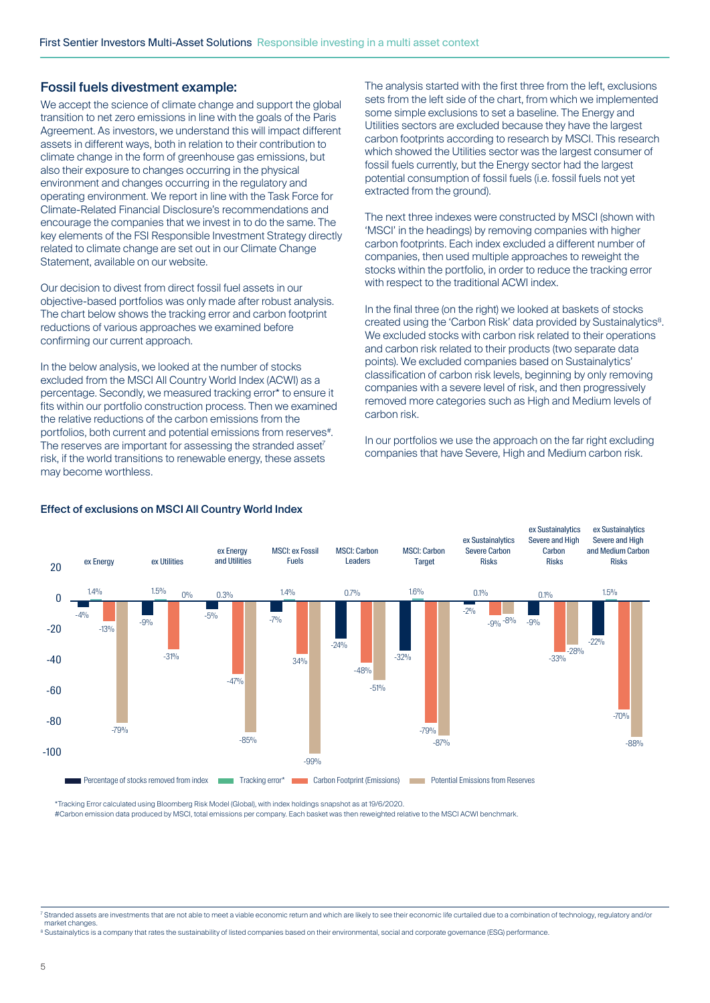## Fossil fuels divestment example:

We accept the science of climate change and support the global transition to net zero emissions in line with the goals of the Paris Agreement. As investors, we understand this will impact different assets in different ways, both in relation to their contribution to climate change in the form of greenhouse gas emissions, but also their exposure to changes occurring in the physical environment and changes occurring in the regulatory and operating environment. We report in line with the Task Force for Climate-Related Financial Disclosure's recommendations and encourage the companies that we invest in to do the same. The key elements of the FSI Responsible Investment Strategy directly related to climate change are set out in our Climate Change Statement, available on our website.

Our decision to divest from direct fossil fuel assets in our objective-based portfolios was only made after robust analysis. The chart below shows the tracking error and carbon footprint reductions of various approaches we examined before confirming our current approach.

In the below analysis, we looked at the number of stocks excluded from the MSCI All Country World Index (ACWI) as a percentage. Secondly, we measured tracking error\* to ensure it fits within our portfolio construction process. Then we examined the relative reductions of the carbon emissions from the portfolios, both current and potential emissions from reserves#. The reserves are important for assessing the stranded asset<sup>7</sup> risk, if the world transitions to renewable energy, these assets may become worthless.

The analysis started with the first three from the left, exclusions sets from the left side of the chart, from which we implemented some simple exclusions to set a baseline. The Energy and Utilities sectors are excluded because they have the largest carbon footprints according to research by MSCI. This research which showed the Utilities sector was the largest consumer of fossil fuels currently, but the Energy sector had the largest potential consumption of fossil fuels (i.e. fossil fuels not yet extracted from the ground).

The next three indexes were constructed by MSCI (shown with 'MSCI' in the headings) by removing companies with higher carbon footprints. Each index excluded a different number of companies, then used multiple approaches to reweight the stocks within the portfolio, in order to reduce the tracking error with respect to the traditional ACWI index.

In the final three (on the right) we looked at baskets of stocks created using the 'Carbon Risk' data provided by Sustainalytics<sup>8</sup>. We excluded stocks with carbon risk related to their operations and carbon risk related to their products (two separate data points). We excluded companies based on Sustainalytics' classification of carbon risk levels, beginning by only removing companies with a severe level of risk, and then progressively removed more categories such as High and Medium levels of carbon risk.

In our portfolios we use the approach on the far right excluding companies that have Severe, High and Medium carbon risk.



### Effect of exclusions on MSCI All Country World Index

\*Tracking Error calculated using Bloomberg Risk Model (Global), with index holdings snapshot as at 19/6/2020.

#Carbon emission data produced by MSCI, total emissions per company. Each basket was then reweighted relative to the MSCI ACWI benchmark.

<sup>7</sup> Stranded assets are investments that are not able to meet a viable economic return and which are likely to see their economic life curtailed due to a combination of technology, regulatory and/or market changes.

<sup>8</sup> Sustainalytics is a company that rates the sustainability of listed companies based on their environmental, social and corporate governance (ESG) performance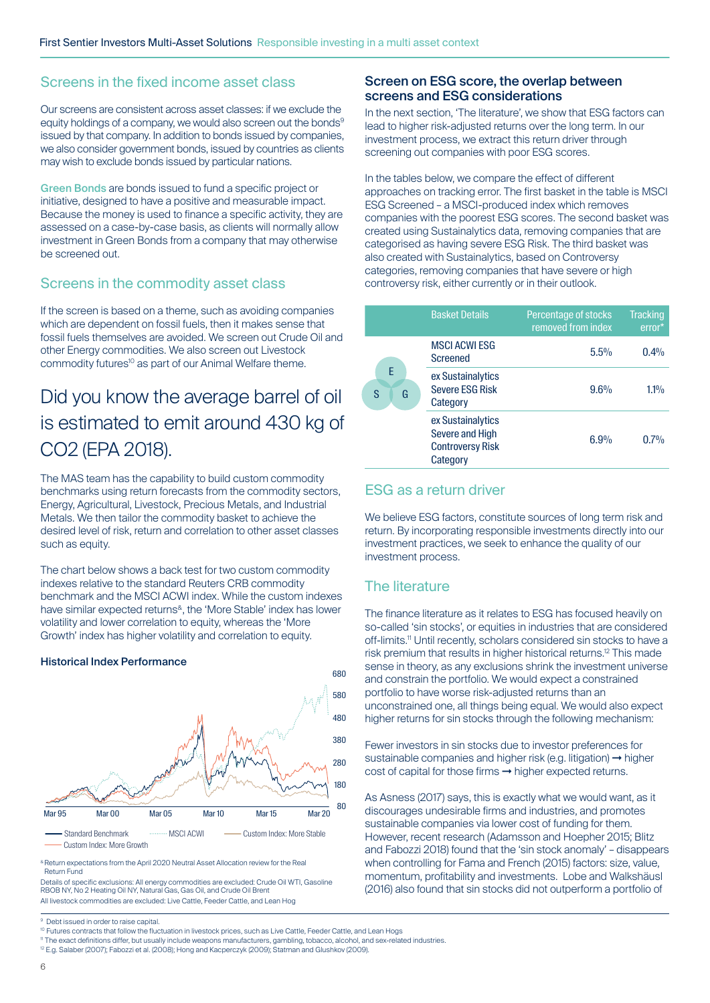## Screens in the fixed income asset class

Our screens are consistent across asset classes: if we exclude the equity holdings of a company, we would also screen out the bonds<sup>9</sup> issued by that company. In addition to bonds issued by companies, we also consider government bonds, issued by countries as clients may wish to exclude bonds issued by particular nations.

Green Bonds are bonds issued to fund a specific project or initiative, designed to have a positive and measurable impact. Because the money is used to finance a specific activity, they are assessed on a case-by-case basis, as clients will normally allow investment in Green Bonds from a company that may otherwise be screened out.

## Screens in the commodity asset class

If the screen is based on a theme, such as avoiding companies which are dependent on fossil fuels, then it makes sense that fossil fuels themselves are avoided. We screen out Crude Oil and other Energy commodities. We also screen out Livestock commodity futures<sup>10</sup> as part of our Animal Welfare theme.

## Did you know the average barrel of oil is estimated to emit around 430 kg of CO2 (EPA 2018).

The MAS team has the capability to build custom commodity benchmarks using return forecasts from the commodity sectors, Energy, Agricultural, Livestock, Precious Metals, and Industrial Metals. We then tailor the commodity basket to achieve the desired level of risk, return and correlation to other asset classes such as equity.

The chart below shows a back test for two custom commodity indexes relative to the standard Reuters CRB commodity benchmark and the MSCI ACWI index. While the custom indexes have similar expected returns<sup>&</sup>, the 'More Stable' index has lower volatility and lower correlation to equity, whereas the 'More Growth' index has higher volatility and correlation to equity.



#### Historical Index Performance

& Return expectations from the April 2020 Neutral Asset Allocation review for the Real Return Fund

Details of specific exclusions: All energy commodities are excluded: Crude Oil WTI, Gasoline RBOB NY, No 2 Heating Oil NY, Natural Gas, Gas Oil, and Crude Oil Brent All livestock commodities are excluded: Live Cattle, Feeder Cattle, and Lean Hoc

#### Screen on ESG score, the overlap between screens and ESG considerations

In the next section, 'The literature', we show that ESG factors can lead to higher risk-adjusted returns over the long term. In our investment process, we extract this return driver through screening out companies with poor ESG scores.

In the tables below, we compare the effect of different approaches on tracking error. The first basket in the table is MSCI ESG Screened – a MSCI-produced index which removes companies with the poorest ESG scores. The second basket was created using Sustainalytics data, removing companies that are categorised as having severe ESG Risk. The third basket was also created with Sustainalytics, based on Controversy categories, removing companies that have severe or high controversy risk, either currently or in their outlook.

|             | <b>Basket Details</b>                                                       | Percentage of stocks<br>removed from index | <b>Tracking</b><br>error* |
|-------------|-----------------------------------------------------------------------------|--------------------------------------------|---------------------------|
|             | <b>MSCI ACWI ESG</b><br><b>Screened</b>                                     | 5.5%                                       | 0.4%                      |
| F<br>G<br>S | ex Sustainalytics<br><b>Severe ESG Risk</b><br>Category                     | 9.6%                                       | $1.1\%$                   |
|             | ex Sustainalytics<br>Severe and High<br><b>Controversy Risk</b><br>Category | 6.9%                                       | $0.7\%$                   |

## ESG as a return driver

We believe ESG factors, constitute sources of long term risk and return. By incorporating responsible investments directly into our investment practices, we seek to enhance the quality of our investment process.

## The literature

The finance literature as it relates to ESG has focused heavily on so-called 'sin stocks', or equities in industries that are considered off-limits.11 Until recently, scholars considered sin stocks to have a risk premium that results in higher historical returns.12 This made sense in theory, as any exclusions shrink the investment universe and constrain the portfolio. We would expect a constrained portfolio to have worse risk-adjusted returns than an unconstrained one, all things being equal. We would also expect higher returns for sin stocks through the following mechanism:

Fewer investors in sin stocks due to investor preferences for sustainable companies and higher risk (e.g. litigation) → higher cost of capital for those firms → higher expected returns.

As Asness (2017) says, this is exactly what we would want, as it discourages undesirable firms and industries, and promotes sustainable companies via lower cost of funding for them. However, recent research (Adamsson and Hoepher 2015; Blitz and Fabozzi 2018) found that the 'sin stock anomaly' – disappears when controlling for Fama and French (2015) factors: size, value, momentum, profitability and investments. Lobe and Walkshäusl (2016) also found that sin stocks did not outperform a portfolio of

<sup>9</sup> Debt issued in order to raise capital.

<sup>&</sup>lt;sup>10</sup> Futures contracts that follow the fluctuation in livestock prices, such as Live Cattle, Feeder Cattle, and Lean Hogs

<sup>&</sup>lt;sup>11</sup> The exact definitions differ, but usually include weapons manufacturers, gambling, tobacco, alcohol, and sex-related industries.

<sup>12</sup> E.g. Salaber (2007); Fabozzi et al. (2008); Hong and Kacperczyk (2009); Statman and Glushkov (2009).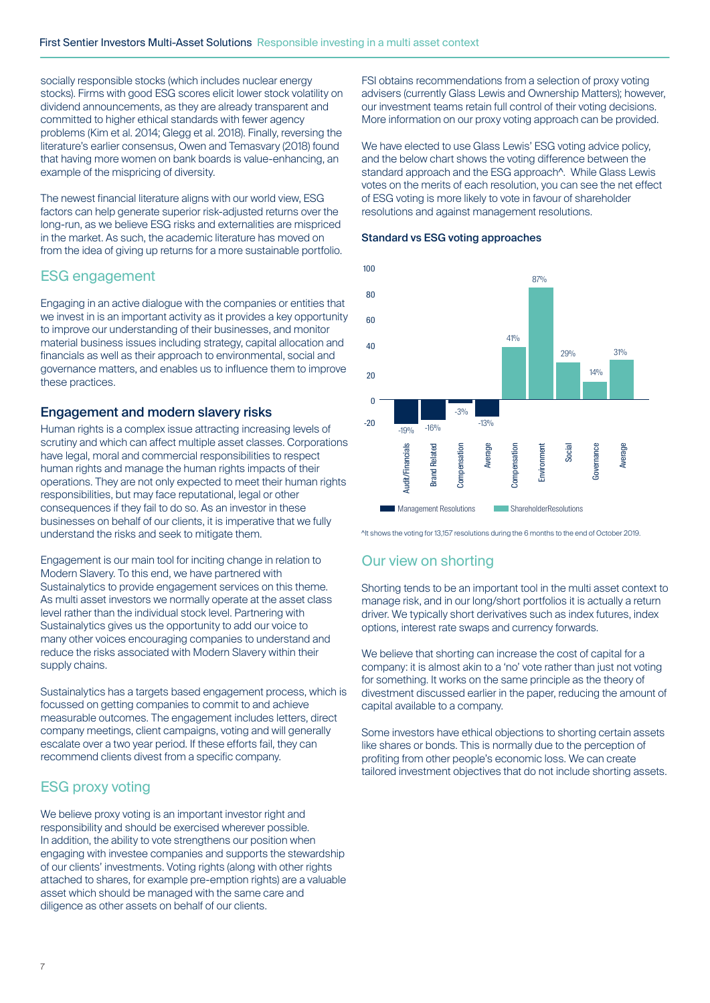socially responsible stocks (which includes nuclear energy stocks). Firms with good ESG scores elicit lower stock volatility on dividend announcements, as they are already transparent and committed to higher ethical standards with fewer agency problems (Kim et al. 2014; Glegg et al. 2018). Finally, reversing the literature's earlier consensus, Owen and Temasvary (2018) found that having more women on bank boards is value-enhancing, an example of the mispricing of diversity.

The newest financial literature aligns with our world view, ESG factors can help generate superior risk-adjusted returns over the long-run, as we believe ESG risks and externalities are mispriced in the market. As such, the academic literature has moved on from the idea of giving up returns for a more sustainable portfolio.

## ESG engagement

Engaging in an active dialogue with the companies or entities that we invest in is an important activity as it provides a key opportunity to improve our understanding of their businesses, and monitor material business issues including strategy, capital allocation and financials as well as their approach to environmental, social and governance matters, and enables us to influence them to improve these practices.

## Engagement and modern slavery risks

Human rights is a complex issue attracting increasing levels of scrutiny and which can affect multiple asset classes. Corporations have legal, moral and commercial responsibilities to respect human rights and manage the human rights impacts of their operations. They are not only expected to meet their human rights responsibilities, but may face reputational, legal or other consequences if they fail to do so. As an investor in these businesses on behalf of our clients, it is imperative that we fully understand the risks and seek to mitigate them.

Engagement is our main tool for inciting change in relation to Modern Slavery. To this end, we have partnered with Sustainalytics to provide engagement services on this theme. As multi asset investors we normally operate at the asset class level rather than the individual stock level. Partnering with Sustainalytics gives us the opportunity to add our voice to many other voices encouraging companies to understand and reduce the risks associated with Modern Slavery within their supply chains.

Sustainalytics has a targets based engagement process, which is focussed on getting companies to commit to and achieve measurable outcomes. The engagement includes letters, direct company meetings, client campaigns, voting and will generally escalate over a two year period. If these efforts fail, they can recommend clients divest from a specific company.

## ESG proxy voting

We believe proxy voting is an important investor right and responsibility and should be exercised wherever possible. In addition, the ability to vote strengthens our position when engaging with investee companies and supports the stewardship of our clients' investments. Voting rights (along with other rights attached to shares, for example pre-emption rights) are a valuable asset which should be managed with the same care and diligence as other assets on behalf of our clients.

FSI obtains recommendations from a selection of proxy voting advisers (currently Glass Lewis and Ownership Matters); however, our investment teams retain full control of their voting decisions. More information on our proxy voting approach can be provided.

We have elected to use Glass Lewis' ESG voting advice policy, and the below chart shows the voting difference between the standard approach and the ESG approach<sup>^</sup>. While Glass Lewis votes on the merits of each resolution, you can see the net effect of ESG voting is more likely to vote in favour of shareholder resolutions and against management resolutions.





^It shows the voting for 13,157 resolutions during the 6 months to the end of October 2019.

## Our view on shorting

Shorting tends to be an important tool in the multi asset context to manage risk, and in our long/short portfolios it is actually a return driver. We typically short derivatives such as index futures, index options, interest rate swaps and currency forwards.

We believe that shorting can increase the cost of capital for a company: it is almost akin to a 'no' vote rather than just not voting for something. It works on the same principle as the theory of divestment discussed earlier in the paper, reducing the amount of capital available to a company.

Some investors have ethical objections to shorting certain assets like shares or bonds. This is normally due to the perception of profiting from other people's economic loss. We can create tailored investment objectives that do not include shorting assets.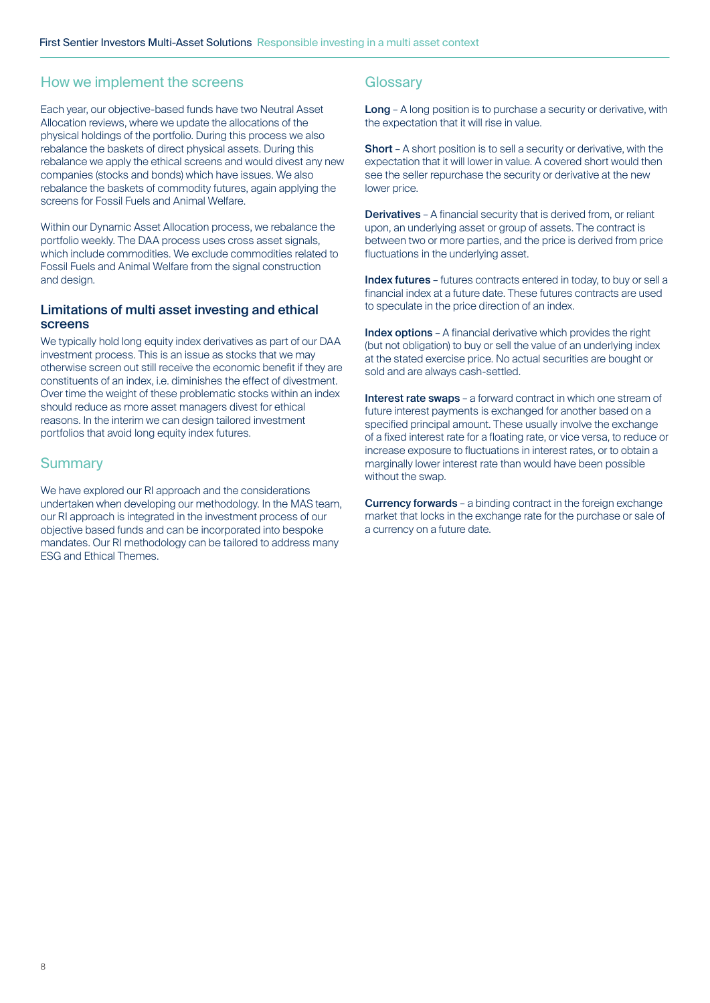## How we implement the screens

Each year, our objective-based funds have two Neutral Asset Allocation reviews, where we update the allocations of the physical holdings of the portfolio. During this process we also rebalance the baskets of direct physical assets. During this rebalance we apply the ethical screens and would divest any new companies (stocks and bonds) which have issues. We also rebalance the baskets of commodity futures, again applying the screens for Fossil Fuels and Animal Welfare.

Within our Dynamic Asset Allocation process, we rebalance the portfolio weekly. The DAA process uses cross asset signals, which include commodities. We exclude commodities related to Fossil Fuels and Animal Welfare from the signal construction and design.

## Limitations of multi asset investing and ethical screens

We typically hold long equity index derivatives as part of our DAA investment process. This is an issue as stocks that we may otherwise screen out still receive the economic benefit if they are constituents of an index, i.e. diminishes the effect of divestment. Over time the weight of these problematic stocks within an index should reduce as more asset managers divest for ethical reasons. In the interim we can design tailored investment portfolios that avoid long equity index futures.

## **Summary**

We have explored our RI approach and the considerations undertaken when developing our methodology. In the MAS team, our RI approach is integrated in the investment process of our objective based funds and can be incorporated into bespoke mandates. Our RI methodology can be tailored to address many ESG and Ethical Themes.

## **Glossary**

Long - A long position is to purchase a security or derivative, with the expectation that it will rise in value.

Short – A short position is to sell a security or derivative, with the expectation that it will lower in value. A covered short would then see the seller repurchase the security or derivative at the new lower price.

Derivatives – A financial security that is derived from, or reliant upon, an underlying asset or group of assets. The contract is between two or more parties, and the price is derived from price fluctuations in the underlying asset.

Index futures - futures contracts entered in today, to buy or sell a financial index at a future date. These futures contracts are used to speculate in the price direction of an index.

Index options - A financial derivative which provides the right (but not obligation) to buy or sell the value of an underlying index at the stated exercise price. No actual securities are bought or sold and are always cash-settled.

Interest rate swaps - a forward contract in which one stream of future interest payments is exchanged for another based on a specified principal amount. These usually involve the exchange of a fixed interest rate for a floating rate, or vice versa, to reduce or increase exposure to fluctuations in interest rates, or to obtain a marginally lower interest rate than would have been possible without the swap.

Currency forwards – a binding contract in the foreign exchange market that locks in the exchange rate for the purchase or sale of a currency on a future date.